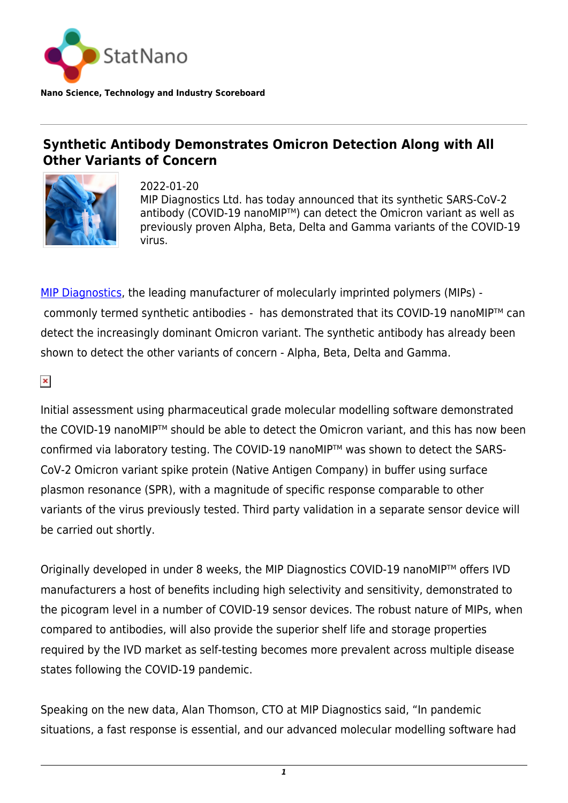

**Nano Science, Technology and Industry Scoreboard**

## **Synthetic Antibody Demonstrates Omicron Detection Along with All Other Variants of Concern**



2022-01-20 MIP Diagnostics Ltd. has today announced that its synthetic SARS-CoV-2 antibody (COVID-19 nanoMIP™) can detect the Omicron variant as well as previously proven Alpha, Beta, Delta and Gamma variants of the COVID-19 virus.

[MIP Diagnostics,](https://www.mip-dx.com/) the leading manufacturer of molecularly imprinted polymers (MIPs) commonly termed synthetic antibodies - has demonstrated that its COVID-19 nanoMIP™ can detect the increasingly dominant Omicron variant. The synthetic antibody has already been shown to detect the other variants of concern - Alpha, Beta, Delta and Gamma.

 $\pmb{\times}$ 

Initial assessment using pharmaceutical grade molecular modelling software demonstrated the COVID-19 nanoMIP™ should be able to detect the Omicron variant, and this has now been confirmed via laboratory testing. The COVID-19 nanoMIP™ was shown to detect the SARS-CoV-2 Omicron variant spike protein (Native Antigen Company) in buffer using surface plasmon resonance (SPR), with a magnitude of specific response comparable to other variants of the virus previously tested. Third party validation in a separate sensor device will be carried out shortly.

Originally developed in under 8 weeks, the MIP Diagnostics COVID-19 nanoMIP™ offers IVD manufacturers a host of benefits including high selectivity and sensitivity, demonstrated to the picogram level in a number of COVID-19 sensor devices. The robust nature of MIPs, when compared to antibodies, will also provide the superior shelf life and storage properties required by the IVD market as self-testing becomes more prevalent across multiple disease states following the COVID-19 pandemic.

Speaking on the new data, Alan Thomson, CTO at MIP Diagnostics said, "In pandemic situations, a fast response is essential, and our advanced molecular modelling software had